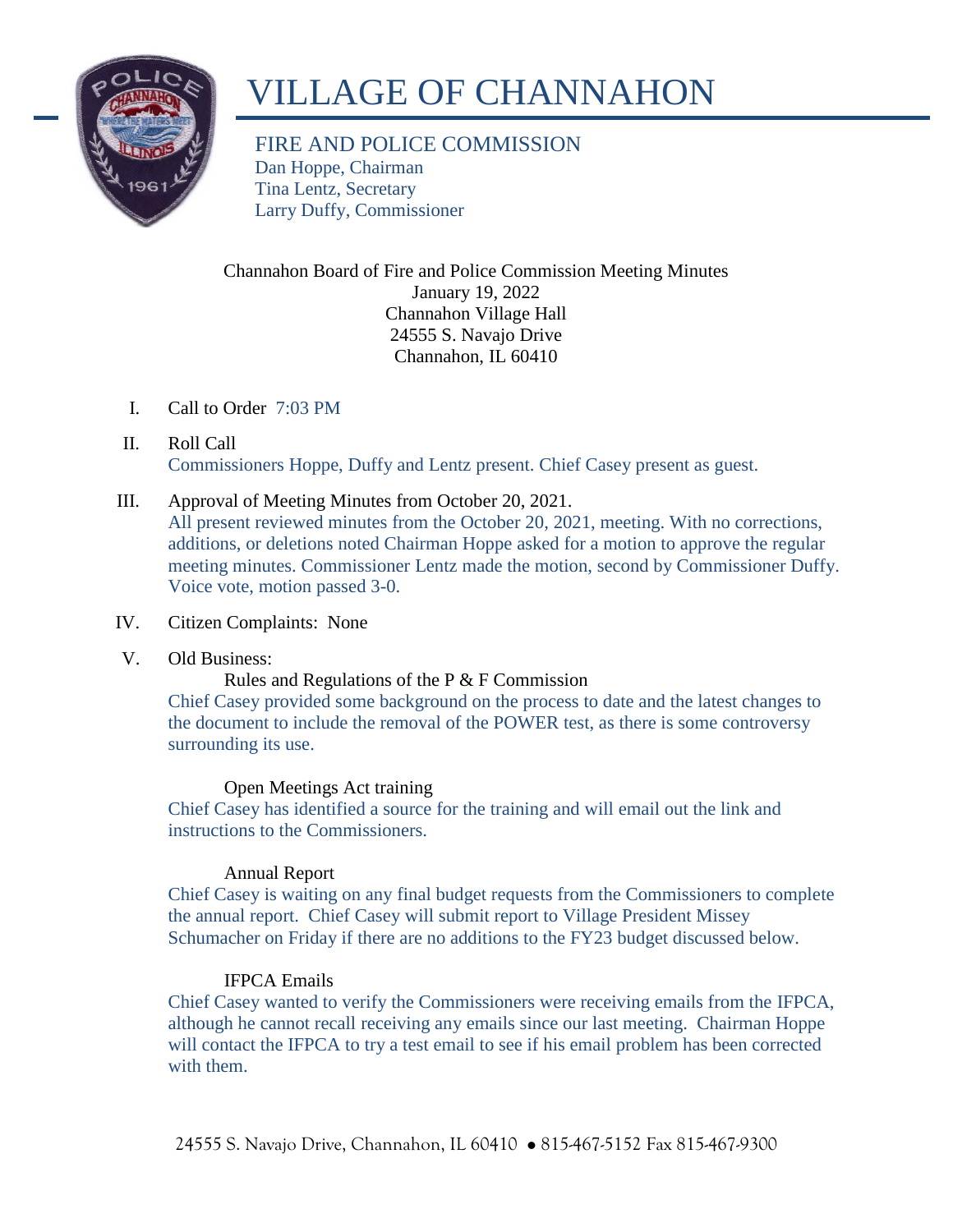

# VILLAGE OF CHANNAHON

FIRE AND POLICE COMMISSION Dan Hoppe, Chairman Tina Lentz, Secretary Larry Duffy, Commissioner

Channahon Board of Fire and Police Commission Meeting Minutes January 19, 2022 Channahon Village Hall 24555 S. Navajo Drive Channahon, IL 60410

- I. Call to Order 7:03 PM
- II. Roll Call Commissioners Hoppe, Duffy and Lentz present. Chief Casey present as guest.
- III. Approval of Meeting Minutes from October 20, 2021. All present reviewed minutes from the October 20, 2021, meeting. With no corrections, additions, or deletions noted Chairman Hoppe asked for a motion to approve the regular meeting minutes. Commissioner Lentz made the motion, second by Commissioner Duffy. Voice vote, motion passed 3-0.

# IV. Citizen Complaints: None

V. Old Business:

Rules and Regulations of the P & F Commission

Chief Casey provided some background on the process to date and the latest changes to the document to include the removal of the POWER test, as there is some controversy surrounding its use.

# Open Meetings Act training

Chief Casey has identified a source for the training and will email out the link and instructions to the Commissioners.

# Annual Report

Chief Casey is waiting on any final budget requests from the Commissioners to complete the annual report. Chief Casey will submit report to Village President Missey Schumacher on Friday if there are no additions to the FY23 budget discussed below.

# IFPCA Emails

Chief Casey wanted to verify the Commissioners were receiving emails from the IFPCA, although he cannot recall receiving any emails since our last meeting. Chairman Hoppe will contact the IFPCA to try a test email to see if his email problem has been corrected with them.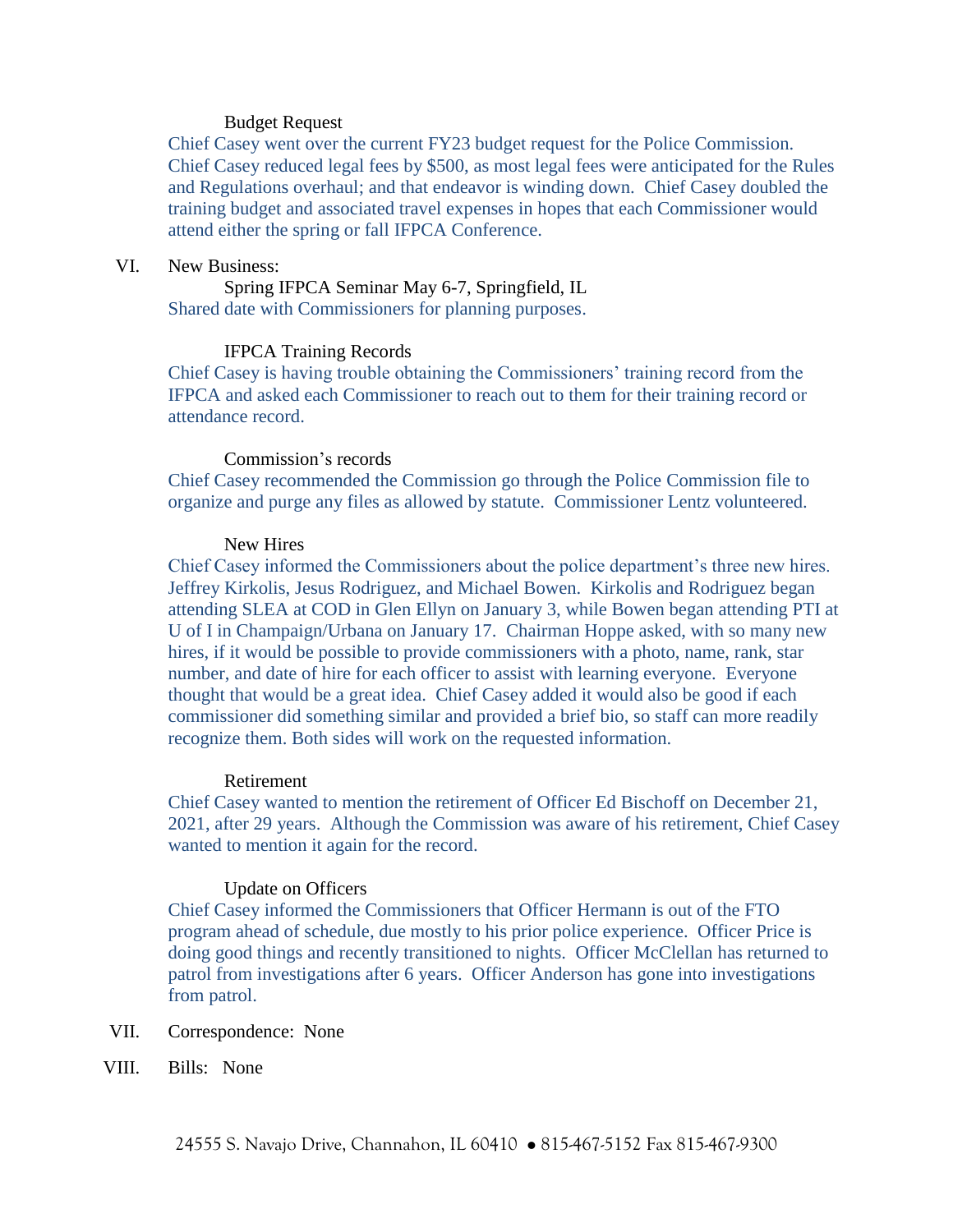### Budget Request

Chief Casey went over the current FY23 budget request for the Police Commission. Chief Casey reduced legal fees by \$500, as most legal fees were anticipated for the Rules and Regulations overhaul; and that endeavor is winding down. Chief Casey doubled the training budget and associated travel expenses in hopes that each Commissioner would attend either the spring or fall IFPCA Conference.

# VI. New Business:

Spring IFPCA Seminar May 6-7, Springfield, IL Shared date with Commissioners for planning purposes.

## IFPCA Training Records

Chief Casey is having trouble obtaining the Commissioners' training record from the IFPCA and asked each Commissioner to reach out to them for their training record or attendance record.

### Commission's records

Chief Casey recommended the Commission go through the Police Commission file to organize and purge any files as allowed by statute. Commissioner Lentz volunteered.

## New Hires

Chief Casey informed the Commissioners about the police department's three new hires. Jeffrey Kirkolis, Jesus Rodriguez, and Michael Bowen. Kirkolis and Rodriguez began attending SLEA at COD in Glen Ellyn on January 3, while Bowen began attending PTI at U of I in Champaign/Urbana on January 17. Chairman Hoppe asked, with so many new hires, if it would be possible to provide commissioners with a photo, name, rank, star number, and date of hire for each officer to assist with learning everyone. Everyone thought that would be a great idea. Chief Casey added it would also be good if each commissioner did something similar and provided a brief bio, so staff can more readily recognize them. Both sides will work on the requested information.

## Retirement

Chief Casey wanted to mention the retirement of Officer Ed Bischoff on December 21, 2021, after 29 years. Although the Commission was aware of his retirement, Chief Casey wanted to mention it again for the record.

## Update on Officers

Chief Casey informed the Commissioners that Officer Hermann is out of the FTO program ahead of schedule, due mostly to his prior police experience. Officer Price is doing good things and recently transitioned to nights. Officer McClellan has returned to patrol from investigations after 6 years. Officer Anderson has gone into investigations from patrol.

- VII. Correspondence: None
- VIII. Bills: None